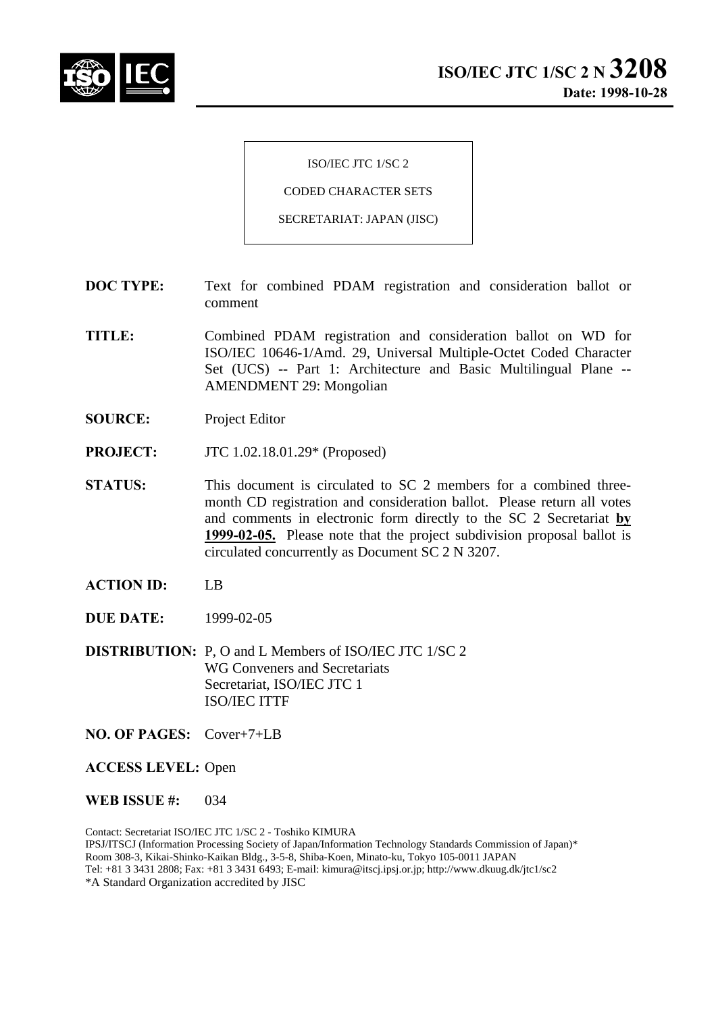

ISO/IEC JTC 1/SC 2

CODED CHARACTER SETS

SECRETARIAT: JAPAN (JISC)

- **DOC TYPE:** Text for combined PDAM registration and consideration ballot or comment
- **TITLE:** Combined PDAM registration and consideration ballot on WD for ISO/IEC 10646-1/Amd. 29, Universal Multiple-Octet Coded Character Set (UCS) -- Part 1: Architecture and Basic Multilingual Plane -- AMENDMENT 29: Mongolian
- **SOURCE:** Project Editor
- **PROJECT:** JTC 1.02.18.01.29\* (Proposed)
- **STATUS:** This document is circulated to SC 2 members for a combined threemonth CD registration and consideration ballot. Please return all votes and comments in electronic form directly to the SC 2 Secretariat **by 1999-02-05.** Please note that the project subdivision proposal ballot is circulated concurrently as Document SC 2 N 3207.
- **ACTION ID:** LB
- **DUE DATE:** 1999-02-05
- **DISTRIBUTION:** P, O and L Members of ISO/IEC JTC 1/SC 2 WG Conveners and Secretariats Secretariat, ISO/IEC JTC 1 ISO/IEC ITTF
- **NO. OF PAGES:** Cover+7+LB

**ACCESS LEVEL:** Open

**WEB ISSUE #:** 034

Contact: Secretariat ISO/IEC JTC 1/SC 2 - Toshiko KIMURA IPSJ/ITSCJ (Information Processing Society of Japan/Information Technology Standards Commission of Japan)\* Room 308-3, Kikai-Shinko-Kaikan Bldg., 3-5-8, Shiba-Koen, Minato-ku, Tokyo 105-0011 JAPAN Tel: +81 3 3431 2808; Fax: +81 3 3431 6493; E-mail: kimura@itscj.ipsj.or.jp; http://www.dkuug.dk/jtc1/sc2 \*A Standard Organization accredited by JISC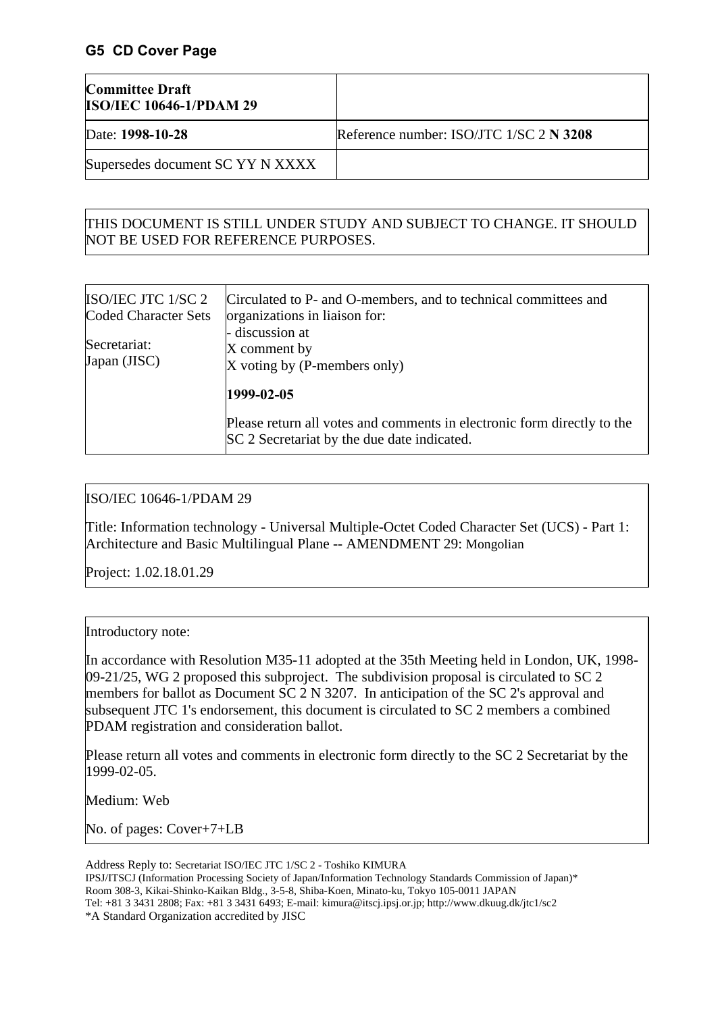## **G5 CD Cover Page**

| <b>Committee Draft</b><br><b>ISO/IEC 10646-1/PDAM 29</b> |                                         |
|----------------------------------------------------------|-----------------------------------------|
| Date: 1998-10-28                                         | Reference number: ISO/JTC 1/SC 2 N 3208 |
| Supersedes document SC YY N XXXX                         |                                         |

# THIS DOCUMENT IS STILL UNDER STUDY AND SUBJECT TO CHANGE. IT SHOULD NOT BE USED FOR REFERENCE PURPOSES.

| ISO/IEC JTC 1/SC 2<br>Coded Character Sets | Circulated to P- and O-members, and to technical committees and<br>organizations in liaison for:                       |
|--------------------------------------------|------------------------------------------------------------------------------------------------------------------------|
| Secretariat:<br>Japan (JISC)               | - discussion at<br>X comment by<br>X voting by (P-members only)                                                        |
|                                            | 1999-02-05                                                                                                             |
|                                            | Please return all votes and comments in electronic form directly to the<br>SC 2 Secretariat by the due date indicated. |

# ISO/IEC 10646-1/PDAM 29

Title: Information technology - Universal Multiple-Octet Coded Character Set (UCS) - Part 1: Architecture and Basic Multilingual Plane -- AMENDMENT 29: Mongolian

Project: 1.02.18.01.29

#### Introductory note:

In accordance with Resolution M35-11 adopted at the 35th Meeting held in London, UK, 1998- 09-21/25, WG 2 proposed this subproject. The subdivision proposal is circulated to SC 2 members for ballot as Document SC 2 N 3207. In anticipation of the SC 2's approval and subsequent JTC 1's endorsement, this document is circulated to SC 2 members a combined PDAM registration and consideration ballot.

Please return all votes and comments in electronic form directly to the SC 2 Secretariat by the 1999-02-05.

Medium: Web

No. of pages: Cover+7+LB

Address Reply to: Secretariat ISO/IEC JTC 1/SC 2 - Toshiko KIMURA IPSJ/ITSCJ (Information Processing Society of Japan/Information Technology Standards Commission of Japan)\* Room 308-3, Kikai-Shinko-Kaikan Bldg., 3-5-8, Shiba-Koen, Minato-ku, Tokyo 105-0011 JAPAN Tel: +81 3 3431 2808; Fax: +81 3 3431 6493; E-mail: kimura@itscj.ipsj.or.jp; http://www.dkuug.dk/jtc1/sc2 \*A Standard Organization accredited by JISC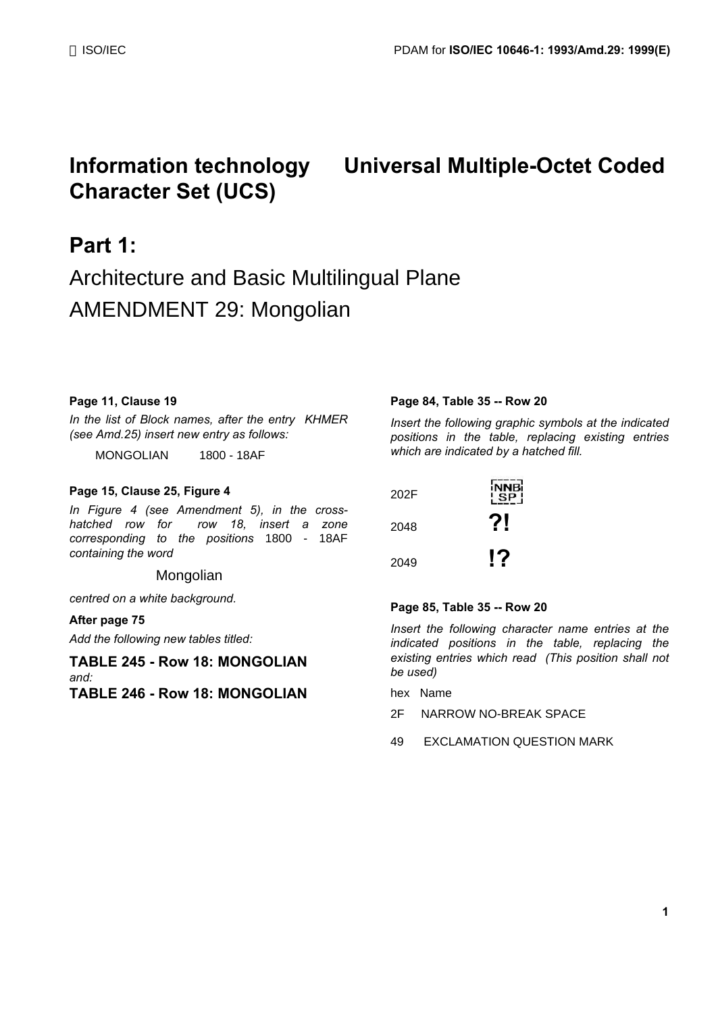# **Character Set (UCS)**

# **Information technology Universal Multiple-Octet Coded**

# **Part 1:**

# Architecture and Basic Multilingual Plane AMENDMENT 29: Mongolian

#### **Page 11, Clause 19**

*In the list of Block names, after the entry KHMER (see Amd.25) insert new entry as follows:*

MONGOLIAN 1800 - 18AF

#### **Page 15, Clause 25, Figure 4**

*In Figure 4 (see Amendment 5), in the crosshatched row for row 18, insert a zone corresponding to the positions* 1800 - 18AF *containing the word*

#### Mongolian

*centred on a white background.*

#### **After page 75**

*Add the following new tables titled:*

#### **TABLE 245 - Row 18: MONGOLIAN** *and:* **TABLE 246 - Row 18: MONGOLIAN**

#### **Page 84, Table 35 -- Row 20**

*Insert the following graphic symbols at the indicated positions in the table, replacing existing entries which are indicated by a hatched fill.*

| 202F | <b>NNB</b> i<br>SP! |
|------|---------------------|
| 2048 | 2!                  |
| 2049 | 17                  |

#### **Page 85, Table 35 -- Row 20**

*Insert the following character name entries at the indicated positions in the table, replacing the existing entries which read (This position shall not be used)*

- hex Name
- 2F NARROW NO-BREAK SPACE
- 49 EXCLAMATION QUESTION MARK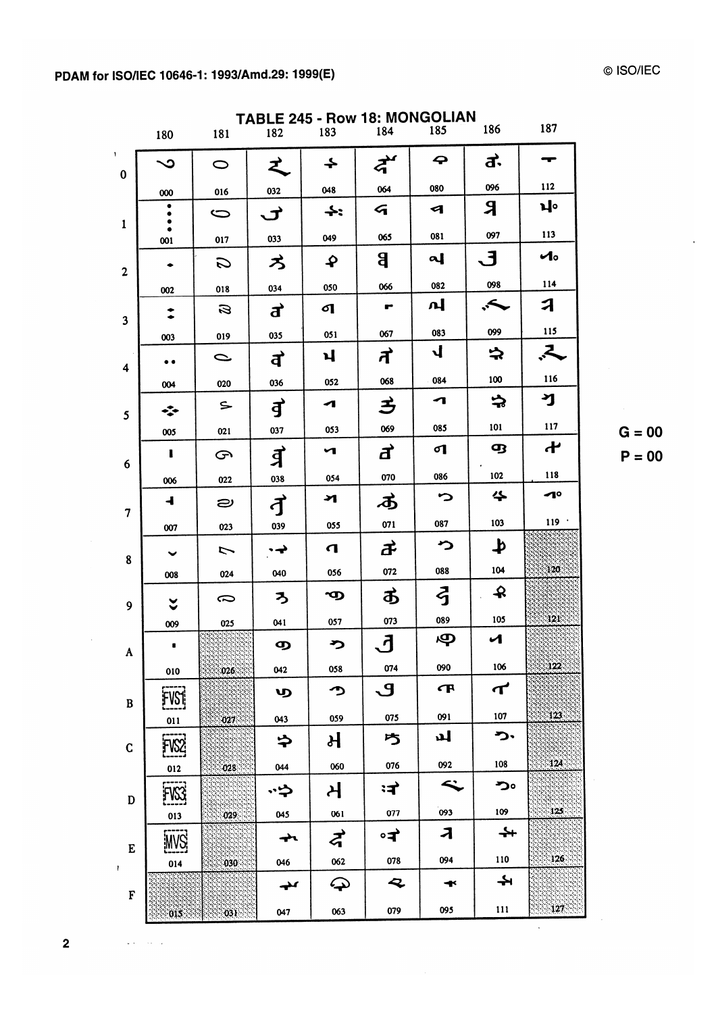$\bar{V}$ 

|                | <b>TABLE 245 - Row 18: MONGOLIAN</b><br>187<br>185<br>186<br>184<br>183<br>182<br>181<br>180 |                            |                               |                        |                |                          |                             |               |
|----------------|----------------------------------------------------------------------------------------------|----------------------------|-------------------------------|------------------------|----------------|--------------------------|-----------------------------|---------------|
| $\bf{0}$       | ر∽                                                                                           | $\bigcirc$                 | z                             | ∔                      | द्रे           | 4                        | <u>ਰ੍ਹ</u>                  |               |
|                | 000                                                                                          | 016                        | 032                           | 048                    | 064            | 080                      | 096                         | 112           |
|                | ۰                                                                                            | S                          | ヹ                             | $\div$                 | 4              | Я                        | R                           | ıŀ            |
| $\mathbf{1}$   | 001                                                                                          | 017                        | 033                           | 049                    | 065            | 081                      | 097                         | 113           |
|                |                                                                                              | S                          | ろ                             | ₽                      | g              | പ                        | . 3                         | $\mathcal{A}$ |
| $\overline{2}$ |                                                                                              | 018                        | 034                           | 050                    | 066            | 082                      | 098                         | 114           |
|                | 002                                                                                          | $\boldsymbol{\mathcal{B}}$ |                               | ଣ                      | ⊷              | പ                        | →.                          | A             |
| 3              |                                                                                              |                            | ð                             |                        |                |                          |                             | 115           |
|                | 003                                                                                          | 019                        | 035                           | 051                    | 067            | 083<br>$\mathbf{I}$      | 099                         |               |
| 4              | $\bullet$ (                                                                                  | C                          | $\overrightarrow{\mathbf{d}}$ | ์ฝ                     | ゚゚゚゚゚゚゚゚゙      |                          | ネ                           | ξ,            |
|                | 004                                                                                          | 020                        | 036                           | 052                    | 068            | 084                      | 100                         | 116           |
| 5              | ∗∑∙                                                                                          | $\subseteq$                | <b>đ</b>                      | ◢                      | 三              | ┓                        | っ                           | ฯ             |
|                | 005                                                                                          | 021                        | 037                           | 053                    | 069            | 085                      | 101                         | 117           |
| 6              | ı                                                                                            | G                          | <u>वे</u>                     | ч                      | ð              | ୶                        | ሟ                           | ተ             |
|                | 006                                                                                          | 022                        | 038                           | 054                    | 070            | 086                      | 102                         | 118           |
| 7              | $\overline{\mathbf{I}}$                                                                      | ల                          | đ                             | স                      | ぁ              | っ                        | 쑤                           | ⊿∘            |
|                | 007                                                                                          | 023                        | 039                           | 055                    | 071            | 087                      | 103                         | 119           |
| 8              | $\checkmark$                                                                                 | 7                          | • →                           | $\mathbf \sigma$       | ヸ              | ∽                        | $\blacktriangleright$       |               |
|                | 008                                                                                          | 024                        | 040                           | 056                    | 072            | 088                      | 104                         | 120.          |
| 9              | $\checkmark$                                                                                 | ≂                          | ろ                             | ာ                      | ぁ              | ි                        | $\mathbf{\mathbf{\hat{z}}}$ |               |
|                | 009                                                                                          | 025                        | 041                           | 057                    | 073            | 089                      | 105                         | 121           |
| A              |                                                                                              |                            |                               | ⋗                      | ้              | Ф                        | $\mathcal{L}$               |               |
|                | 010                                                                                          | 026                        | 042                           | 058                    | 074            | 090                      | 106                         | 122           |
| B              | įfvsi¦                                                                                       |                            | ஶ                             | っ                      | $\overline{S}$ | <b>F</b>                 | $\boldsymbol{\tau}$         |               |
|                | 011                                                                                          | 027                        | 043                           | 059                    | 075            | 091                      | 107                         | 123           |
| $\mathbf C$    | FVS2                                                                                         |                            | ゃ                             | ਮ                      | ち              | ப                        | つ・                          |               |
|                | 012                                                                                          | 028                        | 044                           | 060                    | 076            | 092                      | 108                         | 124           |
| $\mathbf D$    | FVS3                                                                                         |                            | ゚゙゚                           | 거                      | ःन`            | $\tilde{\phantom{a}}$    | つ。                          |               |
|                | 013                                                                                          | 029                        | 045                           | 061                    | 077            | 093                      | 109                         | 125           |
| E              | <b>WS</b>                                                                                    |                            | $\rightarrow$                 | $\boldsymbol{\zeta}$   | ∘न`            | $\overline{\mathcal{A}}$ | $\div$                      |               |
| Ł              | 014                                                                                          | 030                        | 046                           | 062                    | 078            | 094                      | 110                         | 126           |
| F              |                                                                                              |                            | مډ                            | $\boldsymbol{\varphi}$ | Q              | $\mathbf{\ast}$          | ┶                           |               |
|                | 015                                                                                          | 031                        | 047                           | 063                    | 079            | 095                      | $111$                       | 127           |

© ISO/IEC

 $G = 00$  $P = 00$ 

 $\ddot{\phantom{a}}$ 

 $\overline{\mathbf{2}}$ 

 $\bar{t}$ 

 $\sim 10^{11}$  and  $\sim 10^{11}$ 

 $\hat{\mathcal{A}}$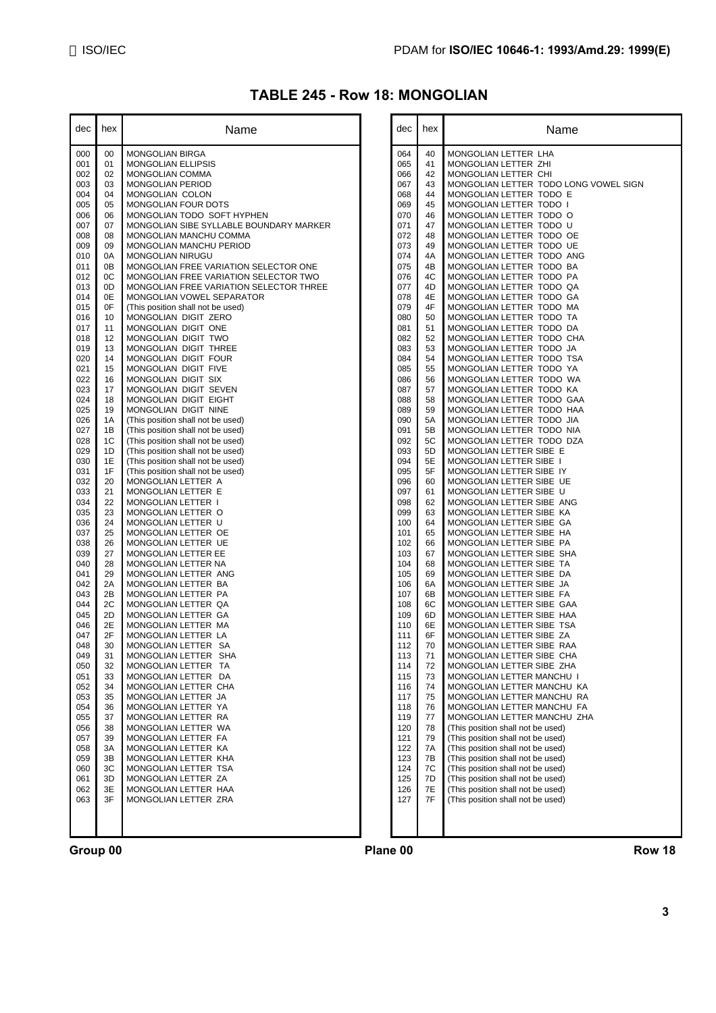# **TABLE 245 - Row 18: MONGOLIAN**

| dec        | hex      | Name                                                           |
|------------|----------|----------------------------------------------------------------|
| 000        | 00       | <b>MONGOLIAN BIRGA</b>                                         |
| 001        | 01       | MONGOLIAN ELLIPSIS                                             |
| 002        | 02       | MONGOLIAN COMMA                                                |
| 003<br>004 | 03<br>04 | MONGOLIAN PERIOD<br><b>MONGOLIAN COLON</b>                     |
| 005        | 05       | <b>MONGOLIAN FOUR DOTS</b>                                     |
| 006        | 06       | MONGOLIAN TODO SOFT HYPHEN                                     |
| 007        | 07       | MONGOLIAN SIBE SYLLABLE BOUNDARY MARKER                        |
| 008<br>009 | 08<br>09 | MONGOLIAN MANCHU COMMA<br>MONGOLIAN MANCHU PERIOD              |
| 010        | 0A       | MONGOLIAN NIRUGU                                               |
| 011        | 0B       | MONGOLIAN FREE VARIATION SELECTOR ONE                          |
| 012        | 0C       | MONGOLIAN FREE VARIATION SELECTOR TWO                          |
| 013        | 0D       | MONGOLIAN FREE VARIATION SELECTOR THREE                        |
| 014<br>015 | 0E<br>0F | MONGOLIAN VOWEL SEPARATOR<br>(This position shall not be used) |
| 016        | 10       | MONGOLIAN DIGIT ZERO                                           |
| 017        | 11       | MONGOLIAN DIGIT ONE                                            |
| 018        | 12       | MONGOLIAN DIGIT TWO                                            |
| 019<br>020 | 13<br>14 | MONGOLIAN DIGIT THREE<br>MONGOLIAN DIGIT FOUR                  |
| 021        | 15       | MONGOLIAN DIGIT FIVE                                           |
| 022        | 16       | MONGOLIAN DIGIT SIX                                            |
| 023        | 17       | MONGOLIAN DIGIT SEVEN                                          |
| 024        | 18       | MONGOLIAN DIGIT EIGHT                                          |
| 025<br>026 | 19<br>1А | MONGOLIAN DIGIT NINE<br>(This position shall not be used)      |
| 027        | 1B       | (This position shall not be used)                              |
| 028        | 1C       | (This position shall not be used)                              |
| 029        | 1D       | (This position shall not be used)                              |
| 030        | 1E<br>1F | (This position shall not be used)                              |
| 031<br>032 | 20       | (This position shall not be used)<br>MONGOLIAN LETTER A        |
| 033        | 21       | MONGOLIAN LETTER E                                             |
| 034        | 22       | MONGOLIAN LETTER 1                                             |
| 035        | 23       | MONGOLIAN LETTER O                                             |
| 036<br>037 | 24<br>25 | MONGOLIAN LETTER U<br>MONGOLIAN LETTER OE                      |
| 038        | 26       | MONGOLIAN LETTER UE                                            |
| 039        | 27       | MONGOLIAN LETTER EE                                            |
| 040        | 28       | MONGOLIAN LETTER NA                                            |
| 041<br>042 | 29<br>2A | MONGOLIAN LETTER ANG<br>MONGOLIAN LETTER BA                    |
| 043        | 2B       | MONGOLIAN LETTER PA                                            |
| 044        | 2С       | MONGOLIAN LETTER QA                                            |
| 045        | 2D       | MONGOLIAN LETTER GA                                            |
| 046<br>047 | 2Е<br>2F | MONGOLIAN LETTER MA<br>MONGOLIAN LETTER LA                     |
| 048        | 30       | MONGOLIAN LETTER<br>SA                                         |
| 049        | 31       | MONGOLIAN LETTER<br><b>SHA</b>                                 |
| 050        | 32       | MONGOLIAN LETTER TA                                            |
| 051        | 33       | MONGOLIAN LETTER<br>DA                                         |
| 052<br>053 | 34<br>35 | MONGOLIAN LETTER CHA<br>MONGOLIAN LETTER JA                    |
| 054        | 36       | MONGOLIAN LETTER YA                                            |
| 055        | 37       | MONGOLIAN LETTER RA                                            |
| 056        | 38       | MONGOLIAN LETTER WA                                            |
| 057<br>058 | 39<br>ЗΑ | MONGOLIAN LETTER FA<br>MONGOLIAN LETTER KA                     |
| 059        | ЗB       | MONGOLIAN LETTER KHA                                           |
| 060        | ЗC       | MONGOLIAN LETTER TSA                                           |
| 061        | 3D       | MONGOLIAN LETTER ZA                                            |
| 062        | 3E<br>3F | MONGOLIAN LETTER HAA<br>MONGOLIAN LETTER ZRA                   |
| 063        |          |                                                                |
|            |          |                                                                |
|            |          |                                                                |

| dec        | hex      | Name                                                                   |
|------------|----------|------------------------------------------------------------------------|
|            |          |                                                                        |
| 064        | 40       | MONGOLIAN LETTER LHA                                                   |
| 065        | 41       | MONGOLIAN LETTER ZHI                                                   |
| 066<br>067 | 42<br>43 | MONGOLIAN LETTER CHI<br>MONGOLIAN LETTER TODO LONG VOWEL SIGN          |
| 068        | 44       | MONGOLIAN LETTER TODO E                                                |
| 069        | 45       | MONGOLIAN LETTER TODO I                                                |
| 070        | 46       | MONGOLIAN LETTER TODO O                                                |
| 071        | 47       | MONGOLIAN LETTER TODO U                                                |
| 072<br>073 | 48<br>49 | MONGOLIAN LETTER TODO OE<br>MONGOLIAN LETTER TODO UE                   |
| 074        | 4A       | MONGOLIAN LETTER TODO ANG                                              |
| 075        | 4B       | MONGOLIAN LETTER TODO BA                                               |
| 076        | 4C       | MONGOLIAN LETTER TODO PA                                               |
| 077        | 4D<br>4E | MONGOLIAN LETTER TODO QA<br>MONGOLIAN LETTER TODO GA                   |
| 078<br>079 | 4F       | MONGOLIAN LETTER TODO MA                                               |
| 080        | 50       | MONGOLIAN LETTER TODO TA                                               |
| 081        | 51       | MONGOLIAN LETTER TODO DA                                               |
| 082        | 52       | MONGOLIAN LETTER TODO CHA                                              |
| 083<br>084 | 53<br>54 | MONGOLIAN LETTER TODO JA<br>MONGOLIAN LETTER TODO TSA                  |
| 085        | 55       | MONGOLIAN LETTER TODO YA                                               |
| 086        | 56       | MONGOLIAN LETTER TODO WA                                               |
| 087        | 57       | MONGOLIAN LETTER TODO KA                                               |
| 088        | 58       | MONGOLIAN LETTER TODO GAA<br>MONGOLIAN LETTER TODO HAA                 |
| 089<br>090 | 59<br>5А | MONGOLIAN LETTER TODO JIA                                              |
| 091        | 5В       | MONGOLIAN LETTER TODO NIA                                              |
| 092        | 5C       | MONGOLIAN LETTER TODO DZA                                              |
| 093        | 5D       | MONGOLIAN LETTER SIBE E                                                |
| 094<br>095 | 5Е<br>5F | MONGOLIAN LETTER SIBE I<br>MONGOLIAN LETTER SIBE IY                    |
| 096        | 60       | MONGOLIAN LETTER SIBE UE                                               |
| 097        | 61       | MONGOLIAN LETTER SIBE U                                                |
| 098        | 62       | MONGOLIAN LETTER SIBE ANG                                              |
| 099<br>100 | 63<br>64 | MONGOLIAN LETTER SIBE KA<br>MONGOLIAN LETTER SIBE GA                   |
| 101        | 65       | MONGOLIAN LETTER SIBE HA                                               |
| 102        | 66       | MONGOLIAN LETTER SIBE PA                                               |
| 103        | 67       | MONGOLIAN LETTER SIBE SHA                                              |
| 104<br>105 | 68<br>69 | MONGOLIAN LETTER SIBE TA<br>MONGOLIAN LETTER SIBE DA                   |
| 106        | 6A       | MONGOLIAN LETTER SIBE JA                                               |
| 107        | 6В       | MONGOLIAN LETTER SIBE FA                                               |
| 108        | 6C       | MONGOLIAN LETTER SIBE GAA                                              |
| 109        | 6D       | MONGOLIAN LETTER SIBE HAA                                              |
| 110<br>111 | 6E<br>6F | MONGOLIAN LETTER SIBE TSA<br>MONGOLIAN LETTER SIBE ZA                  |
| 112        | 70       | MONGOLIAN LETTER SIBE RAA                                              |
| 113        | 71       | MONGOLIAN LETTER SIBE CHA                                              |
| 114        | 72       | MONGOLIAN LETTER SIBE ZHA                                              |
| 115<br>116 | 73<br>74 | MONGOLIAN LETTER MANCHU I<br>MONGOLIAN LETTER MANCHU KA                |
| 117        | 75       | MONGOLIAN LETTER MANCHU RA                                             |
| 118        | 76       | MONGOLIAN LETTER MANCHU FA                                             |
| 119        | 77       | MONGOLIAN LETTER MANCHU ZHA                                            |
| 120<br>121 | 78<br>79 | (This position shall not be used)<br>(This position shall not be used) |
| 122        | 7A       | (This position shall not be used)                                      |
| 123        | 7В       | (This position shall not be used)                                      |
| 124        | 7C       | (This position shall not be used)                                      |
| 125        | 7D<br>7E | (This position shall not be used)<br>(This position shall not be used) |
| 126<br>127 | 7F       | (This position shall not be used)                                      |
|            |          |                                                                        |
|            |          |                                                                        |
|            |          |                                                                        |

**Group 00 Plane 00 Row 18**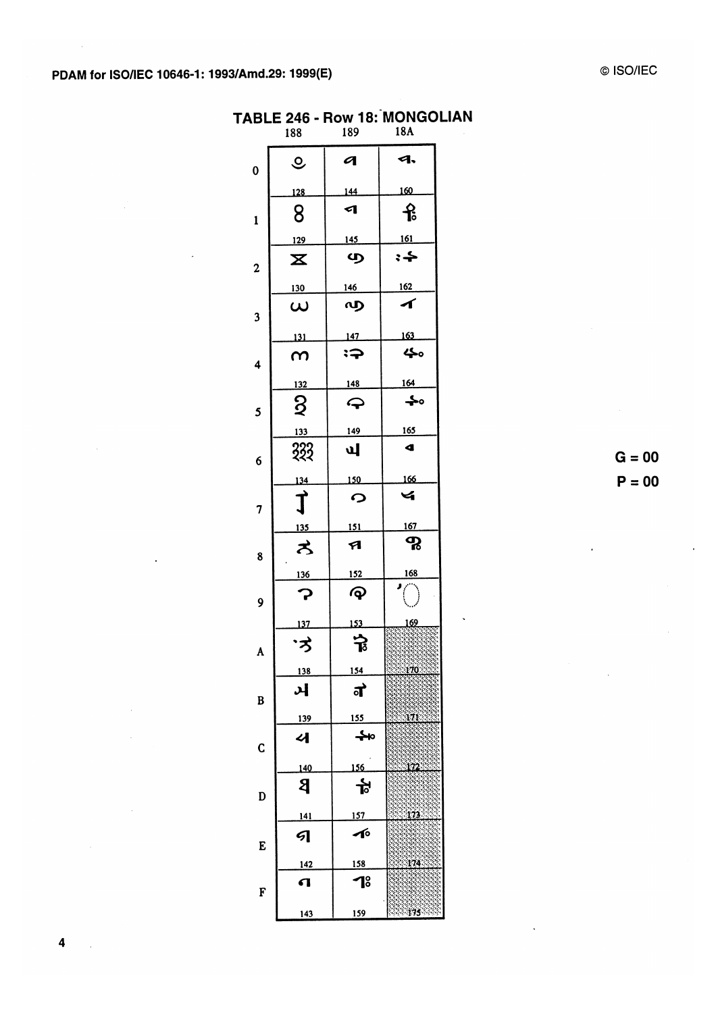|                | 188                           | 189           | 18A                  |
|----------------|-------------------------------|---------------|----------------------|
| $\bf{0}$       | $\mathcal{Q}$                 | q             | ৭.                   |
|                | 128                           | 144           | 160                  |
| $\mathbf{1}$   | 8                             | ◁             | ႜႝ                   |
|                | 129                           | 145           | <u>161</u>           |
| $\overline{c}$ | $\mathbf x$                   | ழ             |                      |
|                | <u>130</u>                    | <u>146</u>    | 162                  |
| 3              | $\boldsymbol{\omega}$         | ൜             | ◢                    |
|                | 131                           | 147           | 163                  |
| 4              | ന                             | $\Rightarrow$ | 40                   |
|                | 132                           | 148           | 164                  |
| 5              | $\overline{2}$                | ↩             | ♣∘                   |
|                | 133                           | 149           | <u>165</u>           |
| 6              | 333                           | ज             | $\blacktriangleleft$ |
|                | 134                           | 150           | 166                  |
| 7              | $\overrightarrow{\mathrm{I}}$ | ဂ             | Ч                    |
|                | 135                           | <u>151</u>    | <u>167</u>           |
| 8              | ろ                             | A             | ႙                    |
|                | <u>136</u>                    | <u>152</u>    | 168                  |
| 9              | ှာ                            | ල             |                      |
| A              | 137<br>゚゙゙゙ゔ                  | 153<br>교      | 162                  |
|                | <u>138</u>                    | 154           | <u>170.</u>          |
| B              | ઞ                             | ग             |                      |
|                | <u>139</u>                    | <u>155</u>    | 171                  |
| C              | 서                             |               |                      |
|                | 140                           | 156           | 122                  |
| D              | 8                             | 卞             |                      |
|                | <u>141</u>                    | <u>157</u>    | 173                  |
| E              | 9                             | へ             |                      |
|                | 142                           | 158           | 174                  |
| F              | Л                             | 18            |                      |
|                | 143                           | <u>159</u>    | 175                  |

TABLE 246 - Row 18: MONGOLIAN

 $G = 00$  $P = 00$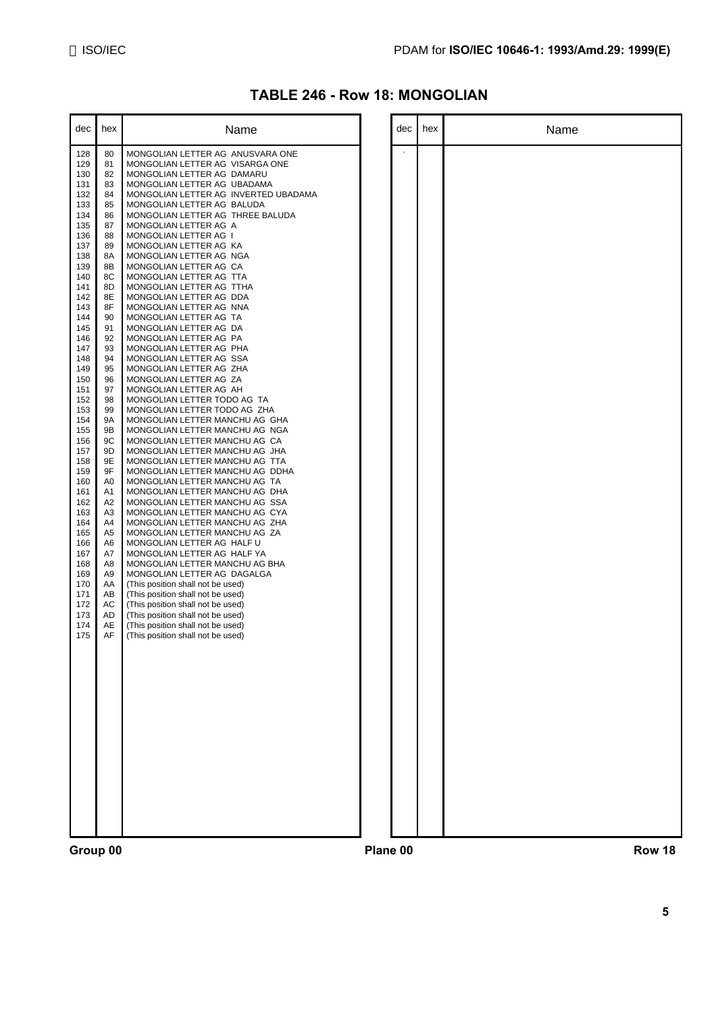Name

| <b>TABLE 246 - Row 18: MONGOLIAN</b> |  |  |  |
|--------------------------------------|--|--|--|
|--------------------------------------|--|--|--|

| dec        | hex      | Name                                                                   | dec | hex |
|------------|----------|------------------------------------------------------------------------|-----|-----|
| 128<br>129 | 80<br>81 | MONGOLIAN LETTER AG ANUSVARA ONE<br>MONGOLIAN LETTER AG VISARGA ONE    |     |     |
| 130        | 82       | MONGOLIAN LETTER AG DAMARU                                             |     |     |
| 131<br>132 | 83<br>84 | MONGOLIAN LETTER AG UBADAMA<br>MONGOLIAN LETTER AG INVERTED UBADAMA    |     |     |
| 133        | 85       | MONGOLIAN LETTER AG BALUDA                                             |     |     |
| 134        | 86       | MONGOLIAN LETTER AG THREE BALUDA                                       |     |     |
| 135<br>136 | 87<br>88 | MONGOLIAN LETTER AG A<br>MONGOLIAN LETTER AG I                         |     |     |
| 137        | 89       | MONGOLIAN LETTER AG KA                                                 |     |     |
| 138<br>139 | 8A<br>8B | MONGOLIAN LETTER AG NGA<br>MONGOLIAN LETTER AG CA                      |     |     |
| 140        | 8C       | MONGOLIAN LETTER AG TTA                                                |     |     |
| 141<br>142 | 8D<br>8E | MONGOLIAN LETTER AG TTHA<br>MONGOLIAN LETTER AG DDA                    |     |     |
| 143        | 8F       | MONGOLIAN LETTER AG NNA                                                |     |     |
| 144        | 90       | MONGOLIAN LETTER AG TA                                                 |     |     |
| 145<br>146 | 91<br>92 | MONGOLIAN LETTER AG DA<br>MONGOLIAN LETTER AG PA                       |     |     |
| 147        | 93       | MONGOLIAN LETTER AG PHA                                                |     |     |
| 148<br>149 | 94<br>95 | MONGOLIAN LETTER AG SSA<br>MONGOLIAN LETTER AG ZHA                     |     |     |
| 150        | 96       | MONGOLIAN LETTER AG ZA                                                 |     |     |
| 151<br>152 | 97<br>98 | MONGOLIAN LETTER AG AH<br>MONGOLIAN LETTER TODO AG TA                  |     |     |
| 153        | 99       | MONGOLIAN LETTER TODO AG ZHA                                           |     |     |
| 154        | 9Α       | MONGOLIAN LETTER MANCHU AG GHA                                         |     |     |
| 155<br>156 | 9Β<br>9C | MONGOLIAN LETTER MANCHU AG NGA<br>MONGOLIAN LETTER MANCHU AG CA        |     |     |
| 157        | 9D       | MONGOLIAN LETTER MANCHU AG JHA                                         |     |     |
| 158<br>159 | 9Ε<br>9F | MONGOLIAN LETTER MANCHU AG TTA<br>MONGOLIAN LETTER MANCHU AG DDHA      |     |     |
| 160        | A0       | MONGOLIAN LETTER MANCHU AG TA                                          |     |     |
| 161<br>162 | A1<br>A2 | MONGOLIAN LETTER MANCHU AG DHA<br>MONGOLIAN LETTER MANCHU AG SSA       |     |     |
| 163        | A3       | MONGOLIAN LETTER MANCHU AG CYA                                         |     |     |
| 164        | A4       | MONGOLIAN LETTER MANCHU AG ZHA                                         |     |     |
| 165<br>166 | A5<br>A6 | MONGOLIAN LETTER MANCHU AG ZA<br>MONGOLIAN LETTER AG HALF U            |     |     |
| 167        | A7       | MONGOLIAN LETTER AG HALF YA                                            |     |     |
| 168<br>169 | A8<br>A9 | MONGOLIAN LETTER MANCHU AG BHA<br>MONGOLIAN LETTER AG DAGALGA          |     |     |
| 170        | AA       | (This position shall not be used)                                      |     |     |
| 171<br>172 | AB<br>АC | (This position shall not be used)<br>(This position shall not be used) |     |     |
| 173        | AD       | (This position shall not be used)                                      |     |     |
| 174        | AE       | (This position shall not be used)                                      |     |     |
| 175        | AF       | (This position shall not be used)                                      |     |     |
|            |          |                                                                        |     |     |
|            |          |                                                                        |     |     |
|            |          |                                                                        |     |     |
|            |          |                                                                        |     |     |
|            |          |                                                                        |     |     |
|            |          |                                                                        |     |     |
|            |          |                                                                        |     |     |
|            |          |                                                                        |     |     |
|            |          |                                                                        |     |     |
|            |          |                                                                        |     |     |
|            |          |                                                                        |     |     |
|            |          |                                                                        |     |     |
|            |          |                                                                        |     |     |

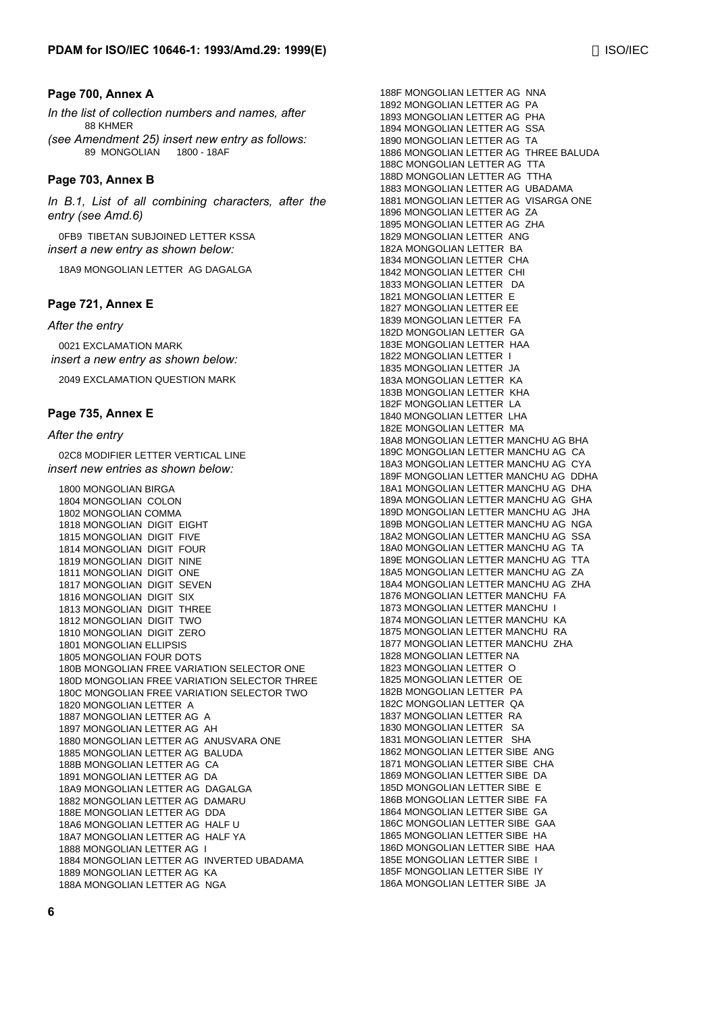#### **Page 700, Annex A**

*In the list of collection numbers and names, after* 88 KHMER

*(see Amendment 25) insert new entry as follows:* 89 MONGOLIAN 1800 - 18AF

#### **Page 703, Annex B**

*In B.1, List of all combining characters, after the entry (see Amd.6)*

0FB9 TIBETAN SUBJOINED LETTER KSSA *insert a new entry as shown below:*

18A9 MONGOLIAN LETTER AG DAGALGA

#### **Page 721, Annex E**

*After the entry*

0021 EXCLAMATION MARK  *insert a new entry as shown below:*

2049 EXCLAMATION QUESTION MARK

#### **Page 735, Annex E**

#### *After the entry*

02C8 MODIFIER LETTER VERTICAL LINE *insert new entries as shown below:*

1800 MONGOLIAN BIRGA 1804 MONGOLIAN COLON 1802 MONGOLIAN COMMA 1818 MONGOLIAN DIGIT EIGHT 1815 MONGOLIAN DIGIT FIVE 1814 MONGOLIAN DIGIT FOUR 1819 MONGOLIAN DIGIT NINE 1811 MONGOLIAN DIGIT ONE 1817 MONGOLIAN DIGIT SEVEN 1816 MONGOLIAN DIGIT SIX 1813 MONGOLIAN DIGIT THREE 1812 MONGOLIAN DIGIT TWO 1810 MONGOLIAN DIGIT ZERO 1801 MONGOLIAN ELLIPSIS 1805 MONGOLIAN FOUR DOTS 180B MONGOLIAN FREE VARIATION SELECTOR ONE 180D MONGOLIAN FREE VARIATION SELECTOR THREE 180C MONGOLIAN FREE VARIATION SELECTOR TWO 1820 MONGOLIAN LETTER A 1887 MONGOLIAN LETTER AG A 1897 MONGOLIAN LETTER AG AH 1880 MONGOLIAN LETTER AG ANUSVARA ONE 1885 MONGOLIAN LETTER AG BALUDA 188B MONGOLIAN LETTER AG CA 1891 MONGOLIAN LETTER AG DA 18A9 MONGOLIAN LETTER AG DAGALGA 1882 MONGOLIAN LETTER AG DAMARU 188E MONGOLIAN LETTER AG DDA 18A6 MONGOLIAN LETTER AG HALF U 18A7 MONGOLIAN LETTER AG HALF YA 1888 MONGOLIAN LETTER AG I 1884 MONGOLIAN LETTER AG INVERTED UBADAMA 1889 MONGOLIAN LETTER AG KA 188A MONGOLIAN LETTER AG NGA

188F MONGOLIAN LETTER AG NNA 1892 MONGOLIAN LETTER AG PA 1893 MONGOLIAN LETTER AG PHA 1894 MONGOLIAN LETTER AG SSA 1890 MONGOLIAN LETTER AG TA 1886 MONGOLIAN LETTER AG THREE BALUDA 188C MONGOLIAN LETTER AG TTA 188D MONGOLIAN LETTER AG TTHA 1883 MONGOLIAN LETTER AG UBADAMA 1881 MONGOLIAN LETTER AG VISARGA ONE 1896 MONGOLIAN LETTER AG ZA 1895 MONGOLIAN LETTER AG ZHA 1829 MONGOLIAN LETTER ANG 182A MONGOLIAN LETTER BA 1834 MONGOLIAN LETTER CHA 1842 MONGOLIAN LETTER CHI 1833 MONGOLIAN LETTER DA 1821 MONGOLIAN LETTER E 1827 MONGOLIAN LETTER EE 1839 MONGOLIAN LETTER FA 182D MONGOLIAN LETTER GA 183E MONGOLIAN LETTER HAA 1822 MONGOLIAN LETTER I 1835 MONGOLIAN LETTER JA 183A MONGOLIAN LETTER KA 183B MONGOLIAN LETTER KHA 182F MONGOLIAN LETTER LA 1840 MONGOLIAN LETTER LHA 182E MONGOLIAN LETTER MA 18A8 MONGOLIAN LETTER MANCHU AG BHA 189C MONGOLIAN LETTER MANCHU AG CA 18A3 MONGOLIAN LETTER MANCHU AG CYA 189F MONGOLIAN LETTER MANCHU AG DDHA 18A1 MONGOLIAN LETTER MANCHU AG DHA 189A MONGOLIAN LETTER MANCHU AG GHA 189D MONGOLIAN LETTER MANCHU AG JHA 189B MONGOLIAN LETTER MANCHU AG NGA 18A2 MONGOLIAN LETTER MANCHU AG SSA 18A0 MONGOLIAN LETTER MANCHU AG TA 189E MONGOLIAN LETTER MANCHU AG TTA 18A5 MONGOLIAN LETTER MANCHU AG ZA 18A4 MONGOLIAN LETTER MANCHU AG ZHA 1876 MONGOLIAN LETTER MANCHU FA 1873 MONGOLIAN LETTER MANCHU I 1874 MONGOLIAN LETTER MANCHU KA 1875 MONGOLIAN LETTER MANCHU RA 1877 MONGOLIAN LETTER MANCHU ZHA 1828 MONGOLIAN LETTER NA 1823 MONGOLIAN LETTER O 1825 MONGOLIAN LETTER OE 182B MONGOLIAN LETTER PA 182C MONGOLIAN LETTER QA 1837 MONGOLIAN LETTER RA 1830 MONGOLIAN LETTER SA 1831 MONGOLIAN LETTER SHA 1862 MONGOLIAN LETTER SIBE ANG 1871 MONGOLIAN LETTER SIBE CHA 1869 MONGOLIAN LETTER SIBE DA 185D MONGOLIAN LETTER SIBE E 186B MONGOLIAN LETTER SIBE FA 1864 MONGOLIAN LETTER SIBE GA 186C MONGOLIAN LETTER SIBE GAA 1865 MONGOLIAN LETTER SIBE HA 186D MONGOLIAN LETTER SIBE HAA 185E MONGOLIAN LETTER SIBE I 185F MONGOLIAN LETTER SIBE IY 186A MONGOLIAN LETTER SIBE JA